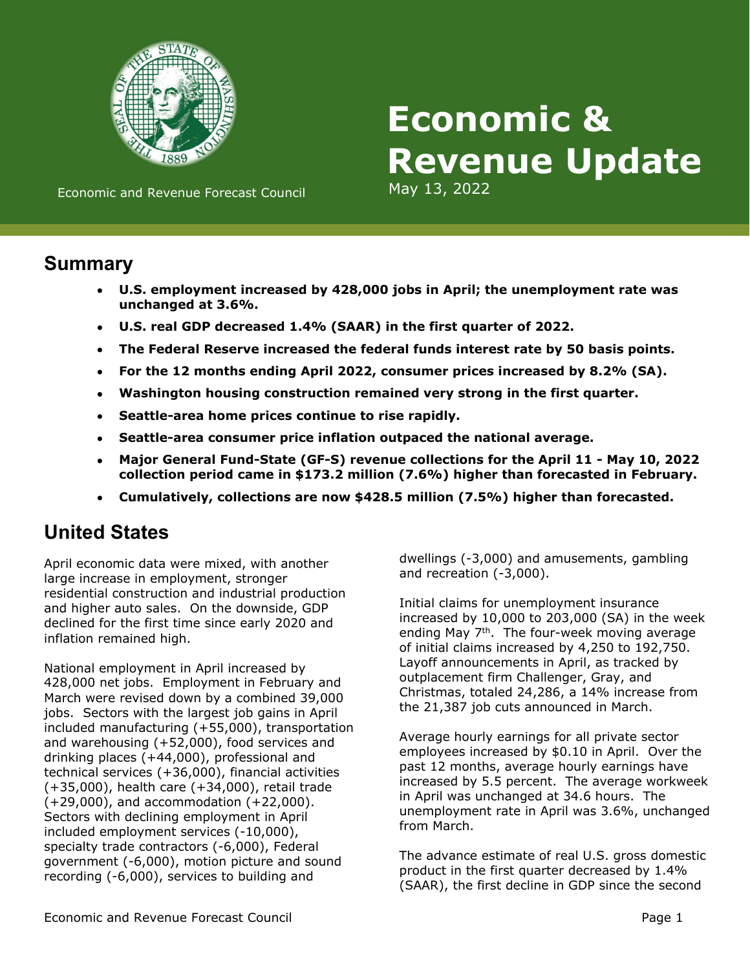

# **Economic & Revenue Update**

Economic and Revenue Forecast Council May 13, 2022

## **Summary**

- **U.S. employment increased by 428,000 jobs in April; the unemployment rate was unchanged at 3.6%.**
- **U.S. real GDP decreased 1.4% (SAAR) in the first quarter of 2022.**
- **The Federal Reserve increased the federal funds interest rate by 50 basis points.**
- **For the 12 months ending April 2022, consumer prices increased by 8.2% (SA).**
- **Washington housing construction remained very strong in the first quarter.**
- **Seattle-area home prices continue to rise rapidly.**
- **Seattle-area consumer price inflation outpaced the national average.**
- **Major General Fund-State (GF-S) revenue collections for the April 11 May 10, 2022 collection period came in \$173.2 million (7.6%) higher than forecasted in February.**
- **Cumulatively, collections are now \$428.5 million (7.5%) higher than forecasted.**

# **United States**

April economic data were mixed, with another large increase in employment, stronger residential construction and industrial production and higher auto sales. On the downside, GDP declined for the first time since early 2020 and inflation remained high.

National employment in April increased by 428,000 net jobs. Employment in February and March were revised down by a combined 39,000 jobs. Sectors with the largest job gains in April included manufacturing (+55,000), transportation and warehousing (+52,000), food services and drinking places (+44,000), professional and technical services (+36,000), financial activities (+35,000), health care (+34,000), retail trade (+29,000), and accommodation (+22,000). Sectors with declining employment in April included employment services (-10,000), specialty trade contractors (-6,000), Federal government (-6,000), motion picture and sound recording (-6,000), services to building and

dwellings (-3,000) and amusements, gambling and recreation (-3,000).

Initial claims for unemployment insurance increased by 10,000 to 203,000 (SA) in the week ending May 7<sup>th</sup>. The four-week moving average of initial claims increased by 4,250 to 192,750. Layoff announcements in April, as tracked by outplacement firm Challenger, Gray, and Christmas, totaled 24,286, a 14% increase from the 21,387 job cuts announced in March.

Average hourly earnings for all private sector employees increased by \$0.10 in April. Over the past 12 months, average hourly earnings have increased by 5.5 percent. The average workweek in April was unchanged at 34.6 hours. The unemployment rate in April was 3.6%, unchanged from March.

The advance estimate of real U.S. gross domestic product in the first quarter decreased by 1.4% (SAAR), the first decline in GDP since the second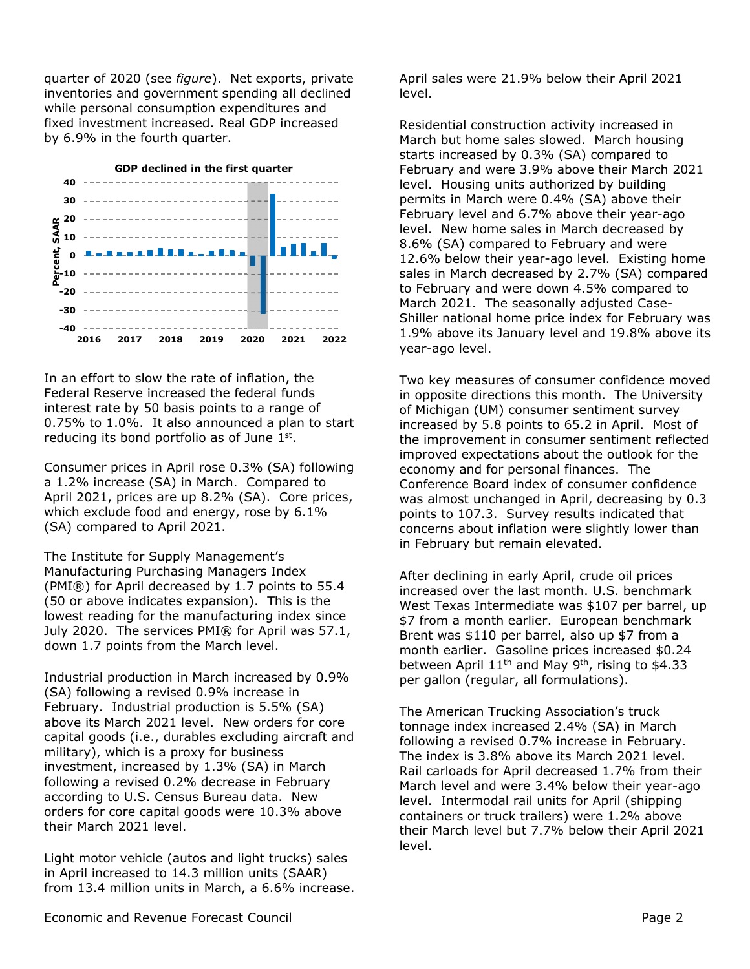quarter of 2020 (see *figure*). Net exports, private inventories and government spending all declined while personal consumption expenditures and fixed investment increased. Real GDP increased by 6.9% in the fourth quarter.



In an effort to slow the rate of inflation, the Federal Reserve increased the federal funds interest rate by 50 basis points to a range of 0.75% to 1.0%. It also announced a plan to start reducing its bond portfolio as of June 1st.

Consumer prices in April rose 0.3% (SA) following a 1.2% increase (SA) in March. Compared to April 2021, prices are up 8.2% (SA). Core prices, which exclude food and energy, rose by 6.1% (SA) compared to April 2021.

The Institute for Supply Management's Manufacturing Purchasing Managers Index (PMI®) for April decreased by 1.7 points to 55.4 (50 or above indicates expansion). This is the lowest reading for the manufacturing index since July 2020. The services PMI® for April was 57.1, down 1.7 points from the March level.

Industrial production in March increased by 0.9% (SA) following a revised 0.9% increase in February. Industrial production is 5.5% (SA) above its March 2021 level. New orders for core capital goods (i.e., durables excluding aircraft and military), which is a proxy for business investment, increased by 1.3% (SA) in March following a revised 0.2% decrease in February according to U.S. Census Bureau data. New orders for core capital goods were 10.3% above their March 2021 level.

Light motor vehicle (autos and light trucks) sales in April increased to 14.3 million units (SAAR) from 13.4 million units in March, a 6.6% increase. April sales were 21.9% below their April 2021 level.

Residential construction activity increased in March but home sales slowed. March housing starts increased by 0.3% (SA) compared to February and were 3.9% above their March 2021 level. Housing units authorized by building permits in March were 0.4% (SA) above their February level and 6.7% above their year-ago level. New home sales in March decreased by 8.6% (SA) compared to February and were 12.6% below their year-ago level. Existing home sales in March decreased by 2.7% (SA) compared to February and were down 4.5% compared to March 2021. The seasonally adjusted Case-Shiller national home price index for February was 1.9% above its January level and 19.8% above its year-ago level.

Two key measures of consumer confidence moved in opposite directions this month. The University of Michigan (UM) consumer sentiment survey increased by 5.8 points to 65.2 in April. Most of the improvement in consumer sentiment reflected improved expectations about the outlook for the economy and for personal finances. The Conference Board index of consumer confidence was almost unchanged in April, decreasing by 0.3 points to 107.3. Survey results indicated that concerns about inflation were slightly lower than in February but remain elevated.

After declining in early April, crude oil prices increased over the last month. U.S. benchmark West Texas Intermediate was \$107 per barrel, up \$7 from a month earlier. European benchmark Brent was \$110 per barrel, also up \$7 from a month earlier. Gasoline prices increased \$0.24 between April 11<sup>th</sup> and May 9<sup>th</sup>, rising to \$4.33 per gallon (regular, all formulations).

The American Trucking Association's truck tonnage index increased 2.4% (SA) in March following a revised 0.7% increase in February. The index is 3.8% above its March 2021 level. Rail carloads for April decreased 1.7% from their March level and were 3.4% below their year-ago level. Intermodal rail units for April (shipping containers or truck trailers) were 1.2% above their March level but 7.7% below their April 2021 level.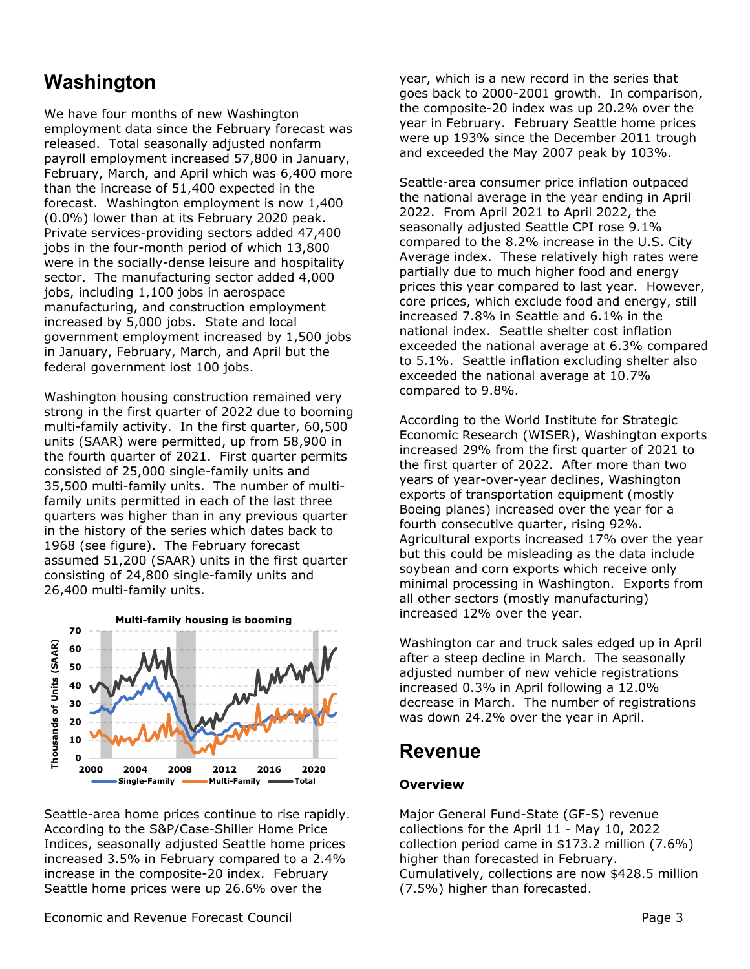# **Washington**

We have four months of new Washington employment data since the February forecast was released. Total seasonally adjusted nonfarm payroll employment increased 57,800 in January, February, March, and April which was 6,400 more than the increase of 51,400 expected in the forecast. Washington employment is now 1,400 (0.0%) lower than at its February 2020 peak. Private services-providing sectors added 47,400 jobs in the four-month period of which 13,800 were in the socially-dense leisure and hospitality sector. The manufacturing sector added 4,000 jobs, including 1,100 jobs in aerospace manufacturing, and construction employment increased by 5,000 jobs. State and local government employment increased by 1,500 jobs in January, February, March, and April but the federal government lost 100 jobs.

Washington housing construction remained very strong in the first quarter of 2022 due to booming multi-family activity. In the first quarter, 60,500 units (SAAR) were permitted, up from 58,900 in the fourth quarter of 2021. First quarter permits consisted of 25,000 single-family units and 35,500 multi-family units. The number of multifamily units permitted in each of the last three quarters was higher than in any previous quarter in the history of the series which dates back to 1968 (see figure). The February forecast assumed 51,200 (SAAR) units in the first quarter consisting of 24,800 single-family units and 26,400 multi-family units.



Seattle-area home prices continue to rise rapidly. According to the S&P/Case-Shiller Home Price Indices, seasonally adjusted Seattle home prices increased 3.5% in February compared to a 2.4% increase in the composite-20 index. February Seattle home prices were up 26.6% over the

Economic and Revenue Forecast Council **Access 2006** 2012 12:30 2013 2014 2014 2015 2016 2017 2018 2019 2014 2015

year, which is a new record in the series that goes back to 2000-2001 growth. In comparison, the composite-20 index was up 20.2% over the year in February. February Seattle home prices were up 193% since the December 2011 trough and exceeded the May 2007 peak by 103%.

Seattle-area consumer price inflation outpaced the national average in the year ending in April 2022. From April 2021 to April 2022, the seasonally adjusted Seattle CPI rose 9.1% compared to the 8.2% increase in the U.S. City Average index. These relatively high rates were partially due to much higher food and energy prices this year compared to last year. However, core prices, which exclude food and energy, still increased 7.8% in Seattle and 6.1% in the national index. Seattle shelter cost inflation exceeded the national average at 6.3% compared to 5.1%. Seattle inflation excluding shelter also exceeded the national average at 10.7% compared to 9.8%.

According to the World Institute for Strategic Economic Research (WISER), Washington exports increased 29% from the first quarter of 2021 to the first quarter of 2022. After more than two years of year-over-year declines, Washington exports of transportation equipment (mostly Boeing planes) increased over the year for a fourth consecutive quarter, rising 92%. Agricultural exports increased 17% over the year but this could be misleading as the data include soybean and corn exports which receive only minimal processing in Washington. Exports from all other sectors (mostly manufacturing) increased 12% over the year.

Washington car and truck sales edged up in April after a steep decline in March. The seasonally adjusted number of new vehicle registrations increased 0.3% in April following a 12.0% decrease in March. The number of registrations was down 24.2% over the year in April.

## **Revenue**

## **Overview**

Major General Fund-State (GF-S) revenue collections for the April 11 - May 10, 2022 collection period came in \$173.2 million (7.6%) higher than forecasted in February. Cumulatively, collections are now \$428.5 million (7.5%) higher than forecasted.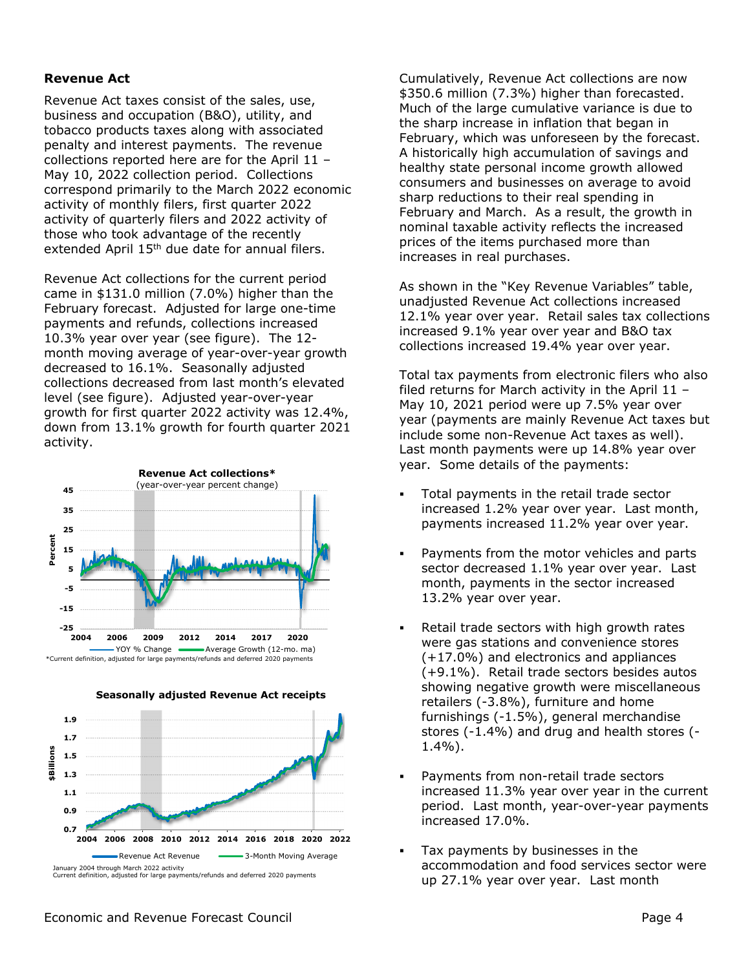#### **Revenue Act**

Revenue Act taxes consist of the sales, use, business and occupation (B&O), utility, and tobacco products taxes along with associated penalty and interest payments. The revenue collections reported here are for the April 11 – May 10, 2022 collection period. Collections correspond primarily to the March 2022 economic activity of monthly filers, first quarter 2022 activity of quarterly filers and 2022 activity of those who took advantage of the recently extended April 15<sup>th</sup> due date for annual filers.

Revenue Act collections for the current period came in \$131.0 million (7.0%) higher than the February forecast. Adjusted for large one-time payments and refunds, collections increased 10.3% year over year (see figure). The 12 month moving average of year-over-year growth decreased to 16.1%. Seasonally adjusted collections decreased from last month's elevated level (see figure). Adjusted year-over-year growth for first quarter 2022 activity was 12.4%, down from 13.1% growth for fourth quarter 2021 activity.





**Seasonally adjusted Revenue Act receipts**

Cumulatively, Revenue Act collections are now \$350.6 million (7.3%) higher than forecasted. Much of the large cumulative variance is due to the sharp increase in inflation that began in February, which was unforeseen by the forecast. A historically high accumulation of savings and healthy state personal income growth allowed consumers and businesses on average to avoid sharp reductions to their real spending in February and March. As a result, the growth in nominal taxable activity reflects the increased prices of the items purchased more than increases in real purchases.

As shown in the "Key Revenue Variables" table, unadjusted Revenue Act collections increased 12.1% year over year. Retail sales tax collections increased 9.1% year over year and B&O tax collections increased 19.4% year over year.

Total tax payments from electronic filers who also filed returns for March activity in the April 11 – May 10, 2021 period were up 7.5% year over year (payments are mainly Revenue Act taxes but include some non-Revenue Act taxes as well). Last month payments were up 14.8% year over year. Some details of the payments:

- Total payments in the retail trade sector increased 1.2% year over year. Last month, payments increased 11.2% year over year.
- Payments from the motor vehicles and parts sector decreased 1.1% year over year. Last month, payments in the sector increased 13.2% year over year.
- Retail trade sectors with high growth rates were gas stations and convenience stores (+17.0%) and electronics and appliances (+9.1%). Retail trade sectors besides autos showing negative growth were miscellaneous retailers (-3.8%), furniture and home furnishings (-1.5%), general merchandise stores (-1.4%) and drug and health stores (- 1.4%).
- Payments from non-retail trade sectors increased 11.3% year over year in the current period. Last month, year-over-year payments increased 17.0%.
- Tax payments by businesses in the accommodation and food services sector were up 27.1% year over year. Last month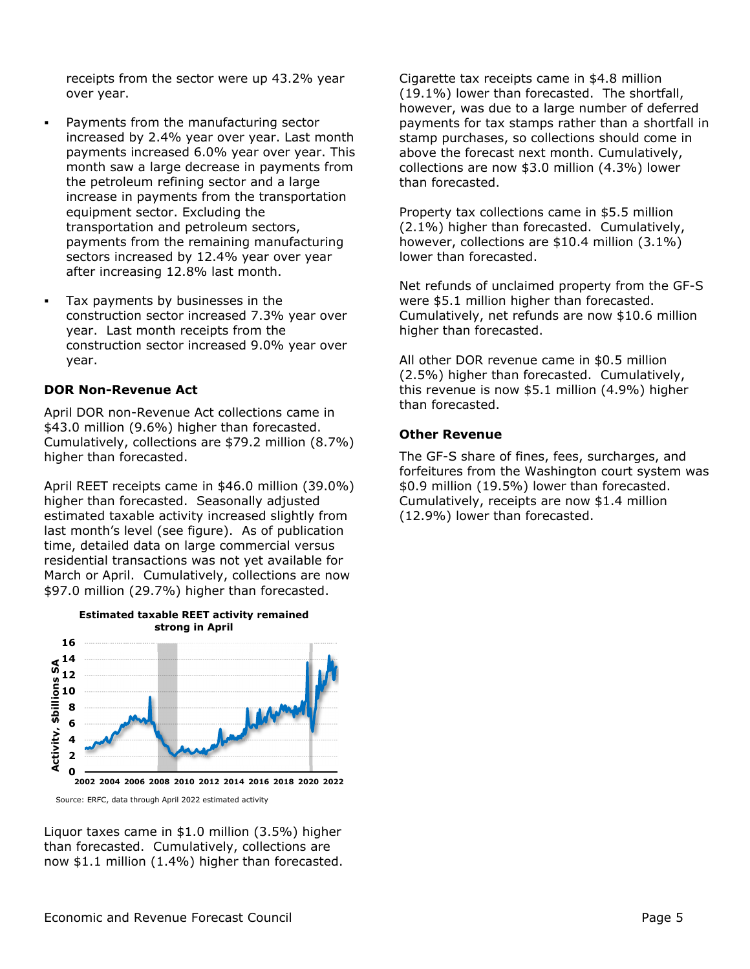receipts from the sector were up 43.2% year over year.

- Payments from the manufacturing sector increased by 2.4% year over year. Last month payments increased 6.0% year over year. This month saw a large decrease in payments from the petroleum refining sector and a large increase in payments from the transportation equipment sector. Excluding the transportation and petroleum sectors, payments from the remaining manufacturing sectors increased by 12.4% year over year after increasing 12.8% last month.
- Tax payments by businesses in the construction sector increased 7.3% year over year. Last month receipts from the construction sector increased 9.0% year over year.

#### **DOR Non-Revenue Act**

April DOR non-Revenue Act collections came in \$43.0 million (9.6%) higher than forecasted. Cumulatively, collections are \$79.2 million (8.7%) higher than forecasted.

April REET receipts came in \$46.0 million (39.0%) higher than forecasted. Seasonally adjusted estimated taxable activity increased slightly from last month's level (see figure). As of publication time, detailed data on large commercial versus residential transactions was not yet available for March or April. Cumulatively, collections are now \$97.0 million (29.7%) higher than forecasted.



Source: ERFC, data through April 2022 estimated activity

Liquor taxes came in \$1.0 million (3.5%) higher than forecasted. Cumulatively, collections are now \$1.1 million (1.4%) higher than forecasted. Cigarette tax receipts came in \$4.8 million (19.1%) lower than forecasted. The shortfall, however, was due to a large number of deferred payments for tax stamps rather than a shortfall in stamp purchases, so collections should come in above the forecast next month. Cumulatively, collections are now \$3.0 million (4.3%) lower than forecasted.

Property tax collections came in \$5.5 million (2.1%) higher than forecasted. Cumulatively, however, collections are \$10.4 million (3.1%) lower than forecasted.

Net refunds of unclaimed property from the GF-S were \$5.1 million higher than forecasted. Cumulatively, net refunds are now \$10.6 million higher than forecasted.

All other DOR revenue came in \$0.5 million (2.5%) higher than forecasted. Cumulatively, this revenue is now \$5.1 million (4.9%) higher than forecasted.

#### **Other Revenue**

The GF-S share of fines, fees, surcharges, and forfeitures from the Washington court system was \$0.9 million (19.5%) lower than forecasted. Cumulatively, receipts are now \$1.4 million (12.9%) lower than forecasted.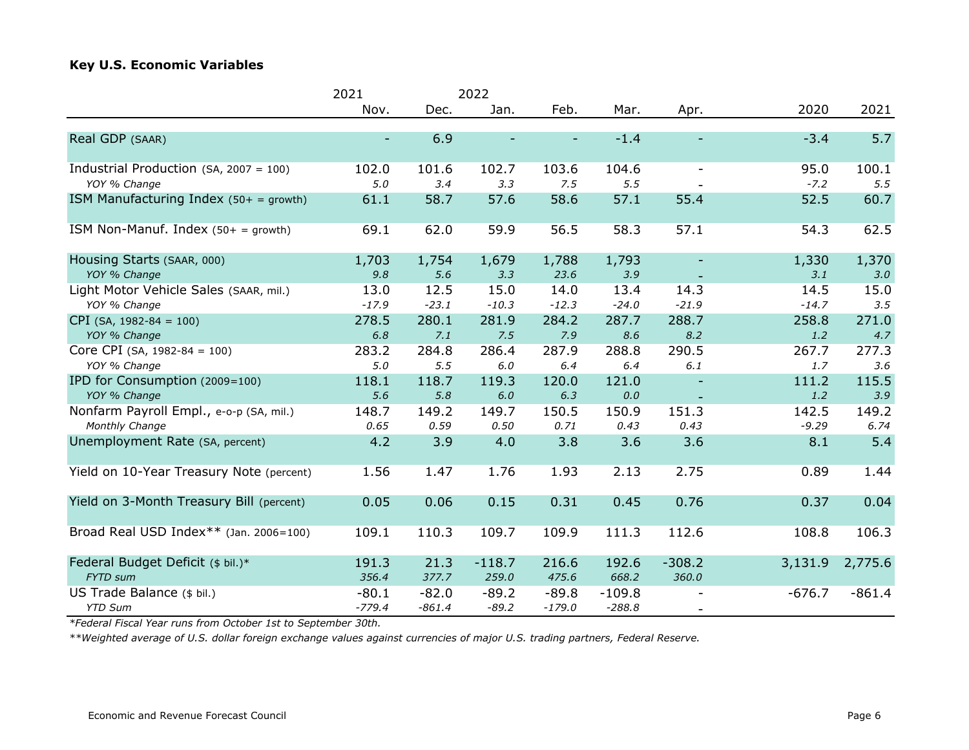#### **Key U.S. Economic Variables**

| 2021     |              | 2022                          |                                     |                                  |                                    |          |                             |
|----------|--------------|-------------------------------|-------------------------------------|----------------------------------|------------------------------------|----------|-----------------------------|
| Nov.     | Dec.         | Jan.                          | Feb.                                | Mar.                             | Apr.                               | 2020     | 2021                        |
|          |              |                               |                                     |                                  |                                    |          | 5.7                         |
|          |              |                               |                                     |                                  |                                    |          |                             |
| 102.0    | 101.6        | 102.7                         | 103.6                               | 104.6                            | $\overline{\phantom{a}}$           | 95.0     | 100.1                       |
|          |              |                               |                                     |                                  |                                    |          | 5.5                         |
| 61.1     | 58.7         | 57.6                          | 58.6                                | 57.1                             | 55.4                               | 52.5     | 60.7                        |
| 69.1     | 62.0         | 59.9                          | 56.5                                | 58.3                             | 57.1                               | 54.3     | 62.5                        |
| 1,703    | 1,754        | 1,679                         | 1,788                               | 1,793                            |                                    | 1,330    | 1,370                       |
| 9.8      | 5.6          | 3.3                           | 23.6                                | 3.9                              |                                    | 3.1      | 3.0                         |
| 13.0     | 12.5         | 15.0                          | 14.0                                | 13.4                             | 14.3                               | 14.5     | 15.0                        |
| $-17.9$  | $-23.1$      | $-10.3$                       | $-12.3$                             | $-24.0$                          | $-21.9$                            | $-14.7$  | 3.5                         |
| 278.5    | 280.1        | 281.9                         | 284.2                               | 287.7                            | 288.7                              | 258.8    | 271.0                       |
| 6.8      | 7.1          | 7.5                           | 7.9                                 | 8.6                              | 8.2                                | 1.2      | 4.7                         |
| 283.2    | 284.8        | 286.4                         | 287.9                               | 288.8                            | 290.5                              | 267.7    | 277.3                       |
| 5.0      | 5.5          | $6.0\,$                       | 6.4                                 | 6.4                              | 6.1                                | 1.7      | 3.6                         |
| 118.1    | 118.7        | 119.3                         | 120.0                               | 121.0                            |                                    | 111.2    | 115.5                       |
| 5.6      | 5.8          | 6.0                           | 6.3                                 | 0.0                              |                                    | 1.2      | 3.9                         |
| 148.7    | 149.2        | 149.7                         | 150.5                               | 150.9                            | 151.3                              | 142.5    | 149.2                       |
| 0.65     | 0.59         | 0.50                          | 0.71                                | 0.43                             | 0.43                               | $-9.29$  | 6.74                        |
| 4.2      | 3.9          | 4.0                           | 3.8                                 | 3.6                              | 3.6                                | 8.1      | 5.4                         |
| 1.56     | 1.47         | 1.76                          | 1.93                                | 2.13                             | 2.75                               | 0.89     | 1.44                        |
| 0.05     | 0.06         | 0.15                          | 0.31                                | 0.45                             | 0.76                               | 0.37     | 0.04                        |
| 109.1    | 110.3        | 109.7                         | 109.9                               | 111.3                            | 112.6                              | 108.8    | 106.3                       |
|          |              |                               |                                     |                                  |                                    |          | 2,775.6                     |
| 356.4    | 377.7        |                               |                                     | 668.2                            | 360.0                              |          |                             |
| $-80.1$  |              |                               |                                     |                                  |                                    | $-676.7$ | $-861.4$                    |
| $-779.4$ | $-861.4$     | $-89.2$                       | $-179.0$                            | $-288.8$                         | $\overline{\phantom{a}}$           |          |                             |
|          | 5.0<br>191.3 | 6.9<br>3.4<br>21.3<br>$-82.0$ | 3.3<br>$-118.7$<br>259.0<br>$-89.2$ | 7.5<br>216.6<br>475.6<br>$-89.8$ | $-1.4$<br>5.5<br>192.6<br>$-109.8$ | $-308.2$ | $-3.4$<br>$-7.2$<br>3,131.9 |

*\*Federal Fiscal Year runs from October 1st to September 30th.*

*\*\*Weighted average of U.S. dollar foreign exchange values against currencies of major U.S. trading partners, Federal Reserve.*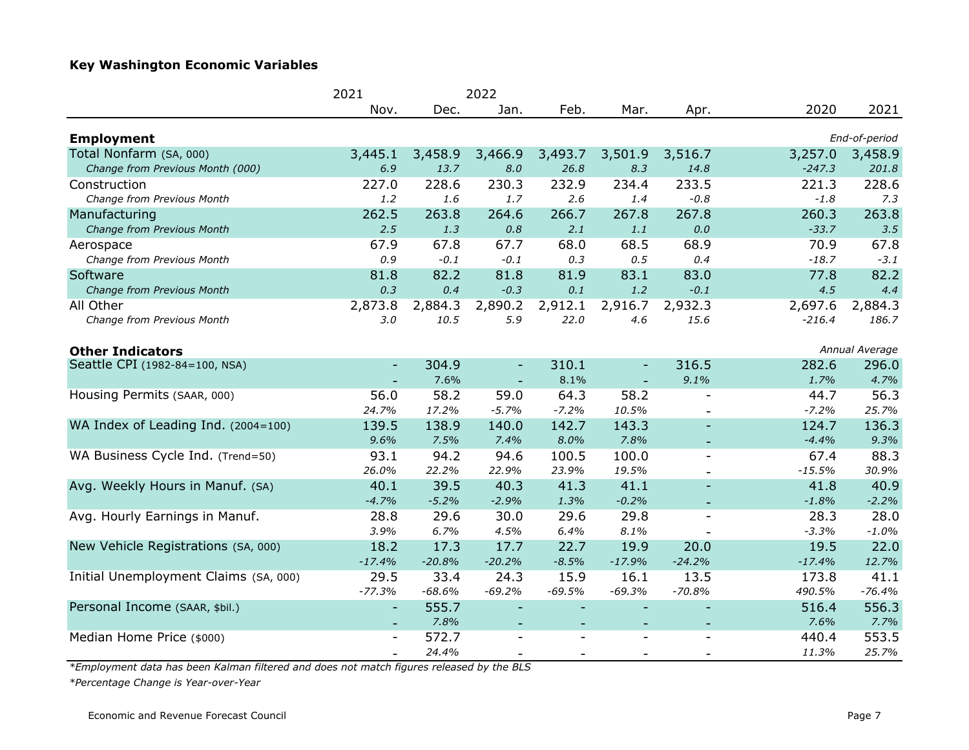## **Key Washington Economic Variables**

|                                       | 2021<br>2022             |          |                          |                          |          |                          |          |                |
|---------------------------------------|--------------------------|----------|--------------------------|--------------------------|----------|--------------------------|----------|----------------|
|                                       | Nov.                     | Dec.     | Jan.                     | Feb.                     | Mar.     | Apr.                     | 2020     | 2021           |
| <b>Employment</b>                     |                          |          |                          |                          |          |                          |          | End-of-period  |
| Total Nonfarm (SA, 000)               | 3,445.1                  | 3,458.9  | 3,466.9                  | 3,493.7                  | 3,501.9  | 3,516.7                  | 3,257.0  | 3,458.9        |
| Change from Previous Month (000)      | 6.9                      | 13.7     | 8.0                      | 26.8                     | 8.3      | 14.8                     | $-247.3$ | 201.8          |
| Construction                          | 227.0                    | 228.6    | 230.3                    | 232.9                    | 234.4    | 233.5                    | 221.3    | 228.6          |
| Change from Previous Month            | 1.2                      | 1.6      | 1.7                      | 2.6                      | 1.4      | $-0.8$                   | $-1.8$   | 7.3            |
| Manufacturing                         | 262.5                    | 263.8    | 264.6                    | 266.7                    | 267.8    | 267.8                    | 260.3    | 263.8          |
| Change from Previous Month            | 2.5                      | 1.3      | 0.8                      | 2.1                      | 1.1      | $0.0\,$                  | $-33.7$  | 3.5            |
| Aerospace                             | 67.9                     | 67.8     | 67.7                     | 68.0                     | 68.5     | 68.9                     | 70.9     | 67.8           |
| Change from Previous Month            | 0.9                      | $-0.1$   | $-0.1$                   | 0.3                      | 0.5      | 0.4                      | $-18.7$  | $-3.1$         |
| Software                              | 81.8                     | 82.2     | 81.8                     | 81.9                     | 83.1     | 83.0                     | 77.8     | 82.2           |
| Change from Previous Month            | 0.3                      | 0.4      | $-0.3$                   | 0.1                      | 1.2      | $-0.1$                   | 4.5      | 4,4            |
| All Other                             | 2,873.8                  | 2,884.3  | 2,890.2                  | 2,912.1                  | 2,916.7  | 2,932.3                  | 2,697.6  | 2,884.3        |
| Change from Previous Month            | 3.0                      | 10.5     | 5.9                      | 22.0                     | 4.6      | 15.6                     | $-216.4$ | 186.7          |
| <b>Other Indicators</b>               |                          |          |                          |                          |          |                          |          | Annual Average |
| Seattle CPI (1982-84=100, NSA)        | $\sim$                   | 304.9    | $\overline{\phantom{a}}$ | 310.1                    |          | 316.5                    | 282.6    | 296.0          |
|                                       |                          | 7.6%     |                          | 8.1%                     |          | 9.1%                     | 1.7%     | 4.7%           |
| Housing Permits (SAAR, 000)           | 56.0                     | 58.2     | 59.0                     | 64.3                     | 58.2     | $\overline{\phantom{a}}$ | 44.7     | 56.3           |
|                                       | 24.7%                    | 17.2%    | $-5.7%$                  | $-7.2%$                  | 10.5%    | $\overline{\phantom{a}}$ | $-7.2%$  | 25.7%          |
| WA Index of Leading Ind. (2004=100)   | 139.5                    | 138.9    | 140.0                    | 142.7                    | 143.3    | $\overline{\phantom{a}}$ | 124.7    | 136.3          |
|                                       | 9.6%                     | 7.5%     | 7.4%                     | 8.0%                     | 7.8%     | ٠                        | $-4.4%$  | 9.3%           |
| WA Business Cycle Ind. (Trend=50)     | 93.1                     | 94.2     | 94.6                     | 100.5                    | 100.0    | $\overline{\phantom{a}}$ | 67.4     | 88.3           |
|                                       | 26.0%                    | 22.2%    | 22.9%                    | 23.9%                    | 19.5%    |                          | $-15.5%$ | 30.9%          |
| Avg. Weekly Hours in Manuf. (SA)      | 40.1                     | 39.5     | 40.3                     | 41.3                     | 41.1     |                          | 41.8     | 40.9           |
|                                       | $-4.7%$                  | $-5.2%$  | $-2.9%$                  | 1.3%                     | $-0.2%$  |                          | $-1.8%$  | $-2.2%$        |
| Avg. Hourly Earnings in Manuf.        | 28.8                     | 29.6     | 30.0                     | 29.6                     | 29.8     | $\overline{\phantom{a}}$ | 28.3     | 28.0           |
|                                       | 3.9%                     | 6.7%     | 4.5%                     | 6.4%                     | 8.1%     |                          | $-3.3%$  | $-1.0%$        |
| New Vehicle Registrations (SA, 000)   | 18.2                     | 17.3     | 17.7                     | 22.7                     | 19.9     | 20.0                     | 19.5     | 22.0           |
|                                       | $-17.4%$                 | $-20.8%$ | $-20.2%$                 | $-8.5%$                  | $-17.9%$ | $-24.2%$                 | $-17.4%$ | 12.7%          |
| Initial Unemployment Claims (SA, 000) | 29.5                     | 33.4     | 24.3                     | 15.9                     | 16.1     | 13.5                     | 173.8    | 41.1           |
|                                       | $-77.3%$                 | $-68.6%$ | $-69.2%$                 | $-69.5%$                 | $-69.3%$ | $-70.8%$                 | 490.5%   | $-76.4%$       |
| Personal Income (SAAR, \$bil.)        | $\overline{\phantom{a}}$ | 555.7    |                          | $\overline{\phantom{0}}$ |          |                          | 516.4    | 556.3          |
|                                       | $\overline{\phantom{a}}$ | 7.8%     | $\overline{\phantom{a}}$ |                          |          | $\overline{\phantom{a}}$ | 7.6%     | 7.7%           |
| Median Home Price (\$000)             | $\overline{\phantom{0}}$ | 572.7    | $\blacksquare$           |                          |          | $\overline{a}$           | 440.4    | 553.5          |
|                                       |                          | 24.4%    |                          |                          |          |                          | 11.3%    | 25.7%          |

*\*Employment data has been Kalman filtered and does not match figures released by the BLS*

*\*Percentage Change is Year-over-Year*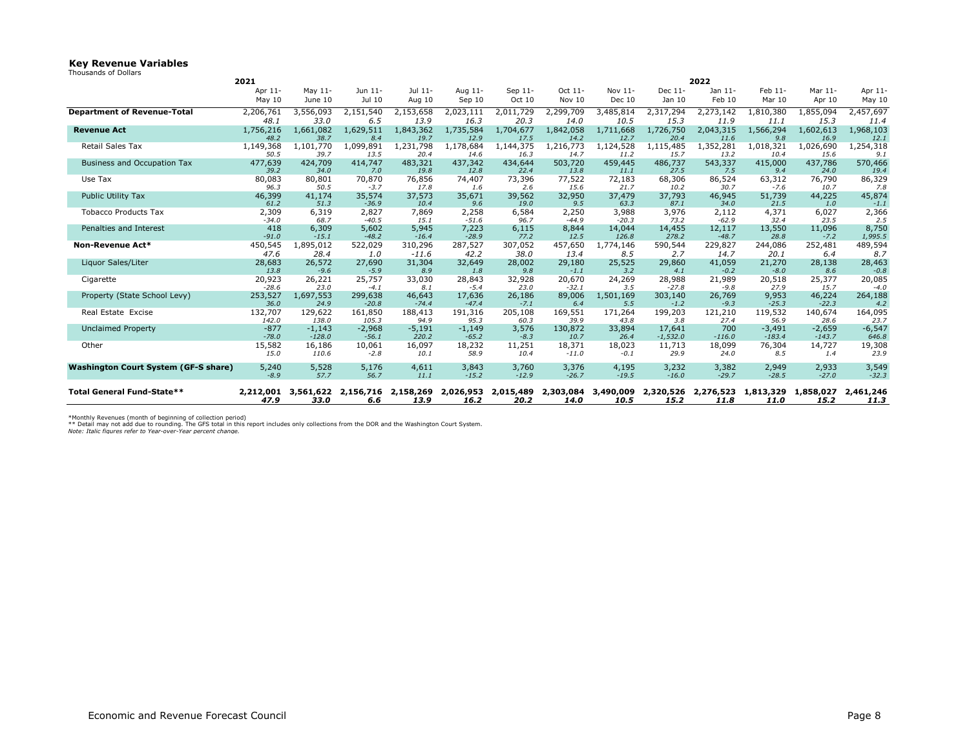#### **Key Revenue Variables**

| Thousands of Dollars |  |  |  |
|----------------------|--|--|--|
|----------------------|--|--|--|

|                                             | 2021              |                   |                    |                   |                   |                   | 2022              |                   |                   |                   |                   |                   |                  |
|---------------------------------------------|-------------------|-------------------|--------------------|-------------------|-------------------|-------------------|-------------------|-------------------|-------------------|-------------------|-------------------|-------------------|------------------|
|                                             | Apr 11-           | May 11-           | Jun 11-            | Jul 11-           | Aug 11-           | Sep 11-           | Oct 11-           | Nov 11-           | Dec 11-           | Jan 11-           | Feb 11-           | Mar 11-           | Apr 11-          |
|                                             | May $10$          | June 10           | Jul 10             | Aug 10            | Sep 10            | Oct 10            | Nov 10            | Dec 10            | Jan 10            | Feb 10            | Mar 10            | Apr 10            | May 10           |
| <b>Department of Revenue-Total</b>          | 2,206,761         | 3,556,093         | 2,151,540          | 2,153,658         | 2,023,111         | 2,011,729         | 2,299,709         | 3,485,814         | 2,317,294         | 2,273,142         | 1,810,380         | 1,855,094         | 2,457,697        |
|                                             | 48.1              | 33.0              | 6.5                | 13.9              | 16.3              | 20.3              | 14.0              | 10.5              | 15.3              | 11.9              | 11.1              | 15.3              | 11.4             |
| <b>Revenue Act</b>                          | 1,756,216         | 1,661,082         | 1,629,511          | 1,843,362         | 1,735,584         | 1,704,677         | 1,842,058         | 1,711,668         | 1,726,750         | 2,043,315         | 1,566,294         | 1,602,613         | 1,968,103        |
|                                             | 48.2              | 38.7<br>1,101,770 | 8.4<br>1,099,891   | 19.7<br>1,231,798 | 12.9              | 17.5              | 14.2<br>1,216,773 | 12.7<br>1,124,528 | 20.4<br>1,115,485 | 11.6<br>1,352,281 | 9,8               | 16.9              | 12.1             |
| Retail Sales Tax                            | 1,149,368<br>50.5 | 39.7              | 13.5               | 20.4              | 1,178,684<br>14.6 | 1,144,375<br>16.3 | 14.7              | 11.2              | 15.7              | 13.2              | 1,018,321<br>10.4 | 1,026,690<br>15.6 | 1,254,318<br>9.1 |
| <b>Business and Occupation Tax</b>          | 477,639           | 424,709           | 414,747            | 483,321           | 437,342           | 434,644           | 503,720           | 459,445           | 486,737           | 543,337           | 415,000           | 437,786           | 570,466          |
|                                             | 39.2              | 34.0              | 7.0                | 19.8              | 12.8              | 22.4              | 13.8              | 11.1              | 27.5              | 7.5               | 9.4               | 24.0              | 19.4             |
| Use Tax                                     | 80,083            | 80,801            | 70,870             | 76,856            | 74,407            | 73,396            | 77,522            | 72,183            | 68,306            | 86,524            | 63,312            | 76,790            | 86,329           |
|                                             | 96.3              | 50.5              | $-3.7$             | 17.8              | 1.6               | 2.6               | 15.6              | 21.7              | 10.2              | 30.7              | $-7.6$            | 10.7              | 7.8              |
| <b>Public Utility Tax</b>                   | 46,399            | 41,174            | 35,574             | 37,573            | 35,671            | 39,562<br>19.0    | 32,950            | 37,479            | 37,793            | 46,945            | 51,739            | 44,225            | 45,874           |
| <b>Tobacco Products Tax</b>                 | 61.2<br>2,309     | 51.3<br>6,319     | $-36.9$<br>2,827   | 10.4<br>7,869     | 9.6<br>2,258      |                   | 9.5<br>2,250      | 63.3              | 87.1<br>3,976     | 34.0              | 21.5<br>4,371     | 1.0               | $-1.1$           |
|                                             | $-34.0$           | 68.7              | $-40.5$            | 15.1              | $-51.6$           | 6,584<br>96.7     | $-44.9$           | 3,988<br>$-20.3$  | 73.2              | 2,112<br>$-62.9$  | 32.4              | 6,027<br>23.5     | 2,366<br>2.5     |
| Penalties and Interest                      | 418               | 6,309             | 5,602              | 5,945             | 7,223             | 6,115             | 8,844             | 14,044            | 14,455            | 12,117            | 13,550            | 11,096            | 8,750            |
|                                             | $-91.0$           | $-15.1$           | $-48.2$            | $-16.4$           | $-28.9$           | 77.2              | 12.5              | 126.8             | 278.2             | $-48.7$           | 28.8              | $-7.2$            | 1,995.5          |
| Non-Revenue Act*                            | 450,545           | 1,895,012         | 522,029            | 310,296           | 287,527           | 307,052           | 457,650           | 1,774,146         | 590,544           | 229,827           | 244,086           | 252,481           | 489,594          |
|                                             | 47.6              | 28.4              | 1.0                | $-11.6$           | 42.2              | 38.0              | 13.4              | 8.5               | 2.7               | 14.7              | 20.1              | 6.4               | 8.7              |
| Liquor Sales/Liter                          | 28,683            | 26,572            | 27,690             | 31,304            | 32,649            | 28,002            | 29,180            | 25,525            | 29,860            | 41,059            | 21,270            | 28,138            | 28,463           |
|                                             | 13.8              | $-9.6$            | $-5.9$             | 8.9               | 1.8               | 9.8               | $-1.1$            | 3.2               | 4.1               | $-0.2$            | $-8.0$            | 8.6               | $-0.8$           |
| Cigarette                                   | 20,923            | 26,221            | 25,757             | 33,030            | 28,843            | 32,928            | 20,670            | 24,269            | 28,988            | 21,989            | 20,518            | 25,377            | 20,085           |
|                                             | $-28.6$           | 23.0              | $-4.1$             | 8.1               | $-5.4$            | 23.0              | $-32.1$           | 3.5               | $-27.8$           | $-9.8$            | 27.9              | 15.7              | $-4.0$           |
| Property (State School Levy)                | 253,527<br>36.0   | 1,697,553<br>24.9 | 299,638<br>$-20.8$ | 46,643<br>$-74.4$ | 17,636<br>$-47.4$ | 26,186<br>$-7.1$  | 89,006<br>6.4     | 1,501,169<br>5.5  | 303,140<br>$-1.2$ | 26,769<br>$-9.3$  | 9,953<br>$-25.3$  | 46,224<br>$-22.3$ | 264,188<br>4.2   |
| Real Estate Excise                          | 132,707           | 129,622           | 161,850            | 188,413           | 191,316           | 205,108           | 169,551           | 171,264           | 199,203           | 121,210           | 119,532           | 140,674           | 164,095          |
|                                             | 142.0             | 138.0             | 105.3              | 94.9              | 95.3              | 60.3              | 39.9              | 43.8              | 3.8               | 27.4              | 56.9              | 28.6              | 23.7             |
| <b>Unclaimed Property</b>                   | $-877$            | $-1,143$          | $-2,968$           | $-5,191$          | $-1,149$          | 3,576             | 130,872           | 33,894            | 17,641            | 700               | $-3,491$          | $-2,659$          | $-6,547$         |
|                                             | $-78.0$           | $-128.0$          | $-56.1$            | 220.2             | $-65.2$           | $-8.3$            | 10.7              | 26.4              | $-1.532.0$        | $-116.0$          | $-183.4$          | $-143.7$          | 646.8            |
| Other                                       | 15,582            | 16,186            | 10,061             | 16,097            | 18,232            | 11,251            | 18,371            | 18,023            | 11,713            | 18,099            | 76,304            | 14,727            | 19,308           |
|                                             | 15.0              | 110.6             | $-2.8$             | 10.1              | 58.9              | 10.4              | $-11.0$           | $-0.1$            | 29.9              | 24.0              | 8.5               | 1.4               | 23.9             |
| <b>Washington Court System (GF-S share)</b> | 5,240             | 5,528             | 5,176              | 4,611             | 3,843             | 3,760             | 3,376             | 4,195             | 3,232             | 3,382             | 2,949             | 2,933             | 3,549            |
|                                             | $-8.9$            | 57.7              | 56.7               | 11.1              | $-15.2$           | $-12.9$           | $-26.7$           | $-19.5$           | $-16.0$           | $-29.7$           | $-28.5$           | $-27.0$           | $-32.3$          |
| Total General Fund-State**                  | 2,212,001         | 3.561.622         | 2.156.716          | 2,158,269         | 2.026.953         | 2,015,489         | 2,303,084         | 3,490,009         | 2,320,526         | 2.276.523         | 1.813.329         | 1,858,027         | 2,461,246        |
|                                             | 47.9              | 33.0              | 6.6                | 13.9              | 16.2              | 20.2              | 14.0              | 10.5              | 15.2              | 11.8              | 11.0              | 15.2              | 11.3             |

\*Monthly Revenues (month of beginning of collection period)<br>\*\* Detail may not add due to rounding. The GFS total in this report includes only collections from the DOR and the Washinqton Court System.<br>*Note: Italic figures*